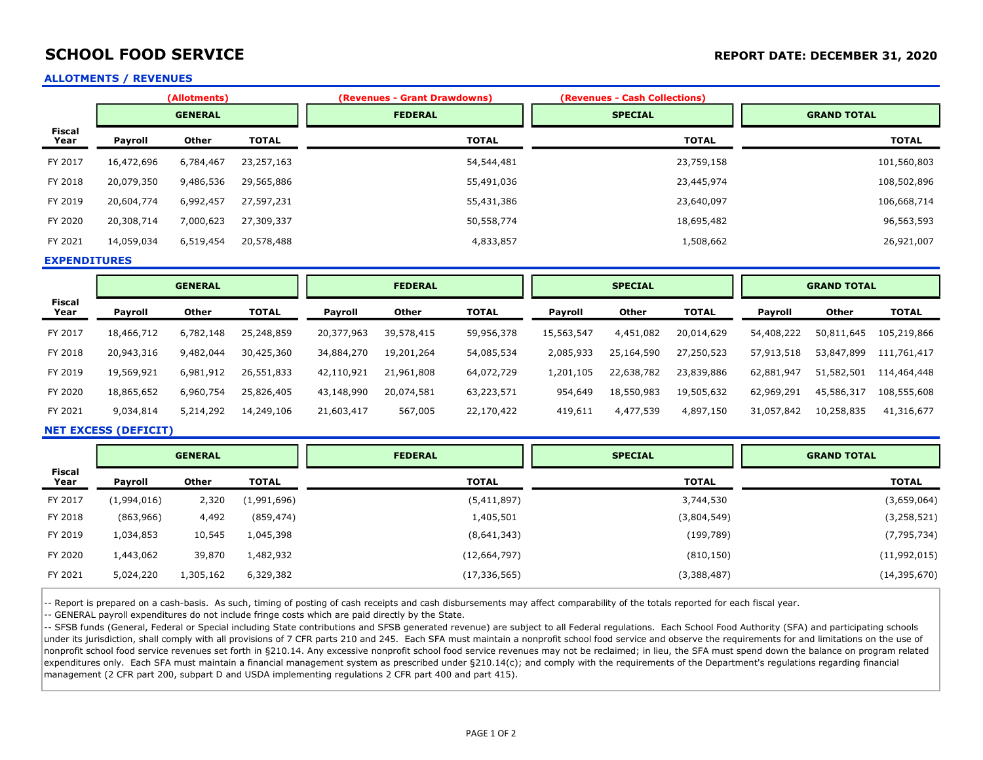## SCHOOL FOOD SERVICE **SCHOOL FOOD SERVICE REPORT DATE: DECEMBER 31, 2020**

### ALLOTMENTS / REVENUES

|                       |            | (Allotments)   |              | (Revenues - Grant Drawdowns) | (Revenues - Cash Collections) |                    |
|-----------------------|------------|----------------|--------------|------------------------------|-------------------------------|--------------------|
|                       |            | <b>GENERAL</b> |              | <b>FEDERAL</b>               | <b>SPECIAL</b>                | <b>GRAND TOTAL</b> |
| <b>Fiscal</b><br>Year | Payroll    | <b>Other</b>   | <b>TOTAL</b> | <b>TOTAL</b>                 | <b>TOTAL</b>                  | <b>TOTAL</b>       |
| FY 2017               | 16,472,696 | 6,784,467      | 23,257,163   | 54,544,481                   | 23,759,158                    | 101,560,803        |
| FY 2018               | 20,079,350 | 9,486,536      | 29,565,886   | 55,491,036                   | 23,445,974                    | 108,502,896        |
| FY 2019               | 20,604,774 | 6,992,457      | 27,597,231   | 55,431,386                   | 23,640,097                    | 106,668,714        |
| FY 2020               | 20,308,714 | 7,000,623      | 27,309,337   | 50,558,774                   | 18,695,482                    | 96,563,593         |
| FY 2021               | 14,059,034 | 6,519,454      | 20,578,488   | 4,833,857                    | 1,508,662                     | 26,921,007         |

EXPENDITURES

|                       | <b>GENERAL</b> |              |              | <b>FEDERAL</b> |            | <b>SPECIAL</b> |            |            | <b>GRAND TOTAL</b> |                |            |              |
|-----------------------|----------------|--------------|--------------|----------------|------------|----------------|------------|------------|--------------------|----------------|------------|--------------|
| <b>Fiscal</b><br>Year | Payroll        | <b>Other</b> | <b>TOTAL</b> | <b>Payroll</b> | Other      | <b>TOTAL</b>   | Payroll    | Other      | <b>TOTAL</b>       | <b>Payroll</b> | Other      | <b>TOTAL</b> |
| FY 2017               | 18,466,712     | 6,782,148    | 25,248,859   | 20,377,963     | 39,578,415 | 59,956,378     | 15,563,547 | 4,451,082  | 20,014,629         | 54,408,222     | 50,811,645 | 105,219,866  |
| FY 2018               | 20,943,316     | 9,482,044    | 30,425,360   | 34,884,270     | 19,201,264 | 54,085,534     | 2,085,933  | 25,164,590 | 27,250,523         | 57,913,518     | 53,847,899 | 111,761,417  |
| FY 2019               | 19,569,921     | 6,981,912    | 26,551,833   | 42,110,921     | 21,961,808 | 64,072,729     | 1,201,105  | 22,638,782 | 23,839,886         | 62,881,947     | 51,582,501 | 114,464,448  |
| FY 2020               | 18,865,652     | 6,960,754    | 25,826,405   | 43,148,990     | 20,074,581 | 63,223,571     | 954,649    | 18,550,983 | 19,505,632         | 62,969,291     | 45,586,317 | 108,555,608  |
| FY 2021               | 9,034,814      | 5,214,292    | 14,249,106   | 21,603,417     | 567,005    | 22,170,422     | 419,611    | 4,477,539  | 4,897,150          | 31,057,842     | 10,258,835 | 41,316,677   |

### NET EXCESS (DEFICIT)

|                       | <b>GENERAL</b> |           |              | <b>FEDERAL</b> | <b>SPECIAL</b> | <b>GRAND TOTAL</b> |  |
|-----------------------|----------------|-----------|--------------|----------------|----------------|--------------------|--|
| <b>Fiscal</b><br>Year | Payroll        | Other     | <b>TOTAL</b> | <b>TOTAL</b>   | <b>TOTAL</b>   | <b>TOTAL</b>       |  |
| FY 2017               | (1,994,016)    | 2,320     | (1,991,696)  | (5,411,897)    | 3,744,530      | (3,659,064)        |  |
| FY 2018               | (863,966)      | 4,492     | (859, 474)   | 1,405,501      | (3,804,549)    | (3, 258, 521)      |  |
| FY 2019               | 1,034,853      | 10,545    | 1,045,398    | (8,641,343)    | (199,789)      | (7, 795, 734)      |  |
| FY 2020               | 1,443,062      | 39,870    | 1,482,932    | (12, 664, 797) | (810, 150)     | (11,992,015)       |  |
| FY 2021               | 5,024,220      | 1,305,162 | 6,329,382    | (17, 336, 565) | (3,388,487)    | (14, 395, 670)     |  |

-- Report is prepared on a cash-basis. As such, timing of posting of cash receipts and cash disbursements may affect comparability of the totals reported for each fiscal year.

-- GENERAL payroll expenditures do not include fringe costs which are paid directly by the State.

-- SFSB funds (General, Federal or Special including State contributions and SFSB generated revenue) are subject to all Federal regulations. Each School Food Authority (SFA) and participating schools under its jurisdiction, shall comply with all provisions of 7 CFR parts 210 and 245. Each SFA must maintain a nonprofit school food service and observe the requirements for and limitations on the use of nonprofit school food service revenues set forth in §210.14. Any excessive nonprofit school food service revenues may not be reclaimed; in lieu, the SFA must spend down the balance on program related expenditures only. Each SFA must maintain a financial management system as prescribed under §210.14(c); and comply with the requirements of the Department's regulations regarding financial management (2 CFR part 200, subpart D and USDA implementing regulations 2 CFR part 400 and part 415).